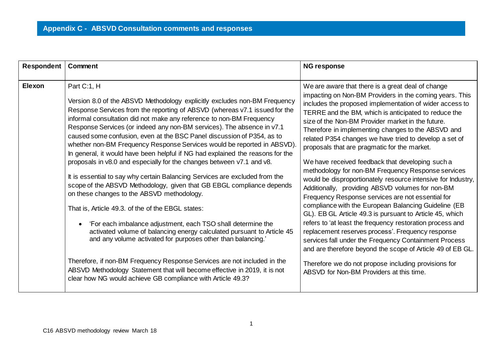| <b>Respondent</b> | Comment                                                                                                                                                                                                                                                                                                                                                                                                                                                                                                                                                                                                                                                                                                                                                                                                                                                                                                                                                                                                                                                                                                                                                                                                                                                                                                                               | <b>NG response</b>                                                                                                                                                                                                                                                                                                                                                                                                                                                                                                                                                                                                                                                                                                                                                                                                                                                                                                                                                                                                                                                                                                                                                                                       |
|-------------------|---------------------------------------------------------------------------------------------------------------------------------------------------------------------------------------------------------------------------------------------------------------------------------------------------------------------------------------------------------------------------------------------------------------------------------------------------------------------------------------------------------------------------------------------------------------------------------------------------------------------------------------------------------------------------------------------------------------------------------------------------------------------------------------------------------------------------------------------------------------------------------------------------------------------------------------------------------------------------------------------------------------------------------------------------------------------------------------------------------------------------------------------------------------------------------------------------------------------------------------------------------------------------------------------------------------------------------------|----------------------------------------------------------------------------------------------------------------------------------------------------------------------------------------------------------------------------------------------------------------------------------------------------------------------------------------------------------------------------------------------------------------------------------------------------------------------------------------------------------------------------------------------------------------------------------------------------------------------------------------------------------------------------------------------------------------------------------------------------------------------------------------------------------------------------------------------------------------------------------------------------------------------------------------------------------------------------------------------------------------------------------------------------------------------------------------------------------------------------------------------------------------------------------------------------------|
| Elexon            | Part C:1, H<br>Version 8.0 of the ABSVD Methodology explicitly excludes non-BM Frequency<br>Response Services from the reporting of ABSVD (whereas v7.1 issued for the<br>informal consultation did not make any reference to non-BM Frequency<br>Response Services (or indeed any non-BM services). The absence in v7.1<br>caused some confusion, even at the BSC Panel discussion of P354, as to<br>whether non-BM Frequency Response Services would be reported in ABSVD).<br>In general, it would have been helpful if NG had explained the reasons for the<br>proposals in v8.0 and especially for the changes between v7.1 and v8.<br>It is essential to say why certain Balancing Services are excluded from the<br>scope of the ABSVD Methodology, given that GB EBGL compliance depends<br>on these changes to the ABSVD methodology.<br>That is, Article 49.3. of the of the EBGL states:<br>'For each imbalance adjustment, each TSO shall determine the<br>activated volume of balancing energy calculated pursuant to Article 45<br>and any volume activated for purposes other than balancing.'<br>Therefore, if non-BM Frequency Response Services are not included in the<br>ABSVD Methodology Statement that will become effective in 2019, it is not<br>clear how NG would achieve GB compliance with Article 49.3? | We are aware that there is a great deal of change<br>impacting on Non-BM Providers in the coming years. This<br>includes the proposed implementation of wider access to<br>TERRE and the BM, which is anticipated to reduce the<br>size of the Non-BM Provider market in the future.<br>Therefore in implementing changes to the ABSVD and<br>related P354 changes we have tried to develop a set of<br>proposals that are pragmatic for the market.<br>We have received feedback that developing such a<br>methodology for non-BM Frequency Response services<br>would be disproportionately resource intensive for Industry,<br>Additionally, providing ABSVD volumes for non-BM<br>Frequency Response services are not essential for<br>compliance with the European Balancing Guideline (EB<br>GL). EB GL Article 49.3 is pursuant to Article 45, which<br>refers to 'at least the frequency restoration process and<br>replacement reserves process'. Frequency response<br>services fall under the Frequency Containment Process<br>and are therefore beyond the scope of Article 49 of EB GL.<br>Therefore we do not propose including provisions for<br>ABSVD for Non-BM Providers at this time. |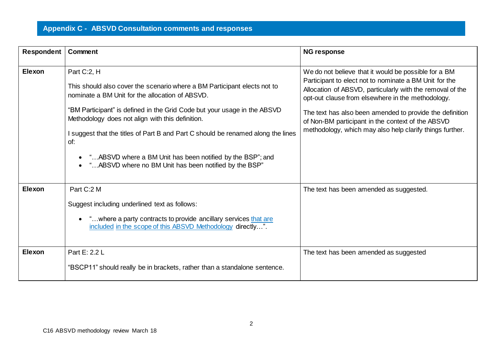| Respondent    | Comment                                                                                                                                                                                                                                                                                                                                                                                                                                                                                      | <b>NG response</b>                                                                                                                                                                                                                                                                                                                                                                                            |
|---------------|----------------------------------------------------------------------------------------------------------------------------------------------------------------------------------------------------------------------------------------------------------------------------------------------------------------------------------------------------------------------------------------------------------------------------------------------------------------------------------------------|---------------------------------------------------------------------------------------------------------------------------------------------------------------------------------------------------------------------------------------------------------------------------------------------------------------------------------------------------------------------------------------------------------------|
| <b>Elexon</b> | Part C:2, H<br>This should also cover the scenario where a BM Participant elects not to<br>nominate a BM Unit for the allocation of ABSVD.<br>"BM Participant" is defined in the Grid Code but your usage in the ABSVD<br>Methodology does not align with this definition.<br>I suggest that the titles of Part B and Part C should be renamed along the lines<br>of:<br>"ABSVD where a BM Unit has been notified by the BSP"; and<br>" ABSVD where no BM Unit has been notified by the BSP" | We do not believe that it would be possible for a BM<br>Participant to elect not to nominate a BM Unit for the<br>Allocation of ABSVD, particularly with the removal of the<br>opt-out clause from elsewhere in the methodology.<br>The text has also been amended to provide the definition<br>of Non-BM participant in the context of the ABSVD<br>methodology, which may also help clarify things further. |
| <b>Elexon</b> | Part C:2 M<br>Suggest including underlined text as follows:<br>"where a party contracts to provide ancillary services that are<br>included in the scope of this ABSVD Methodology directly".                                                                                                                                                                                                                                                                                                 | The text has been amended as suggested.                                                                                                                                                                                                                                                                                                                                                                       |
| <b>Elexon</b> | Part E: 2.2 L<br>"BSCP11" should really be in brackets, rather than a standalone sentence.                                                                                                                                                                                                                                                                                                                                                                                                   | The text has been amended as suggested                                                                                                                                                                                                                                                                                                                                                                        |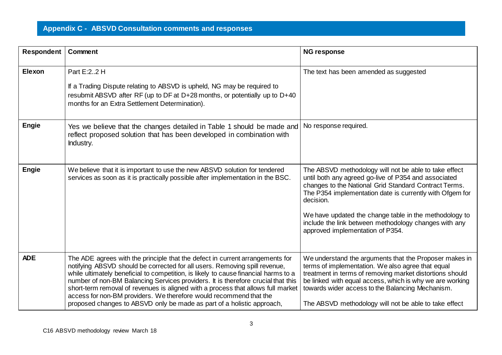| Respondent   | Comment                                                                                                                                                                                                                                                                                                                                                                                                                                                                                                                                                                    | <b>NG response</b>                                                                                                                                                                                                                                                                                                                                                                                     |
|--------------|----------------------------------------------------------------------------------------------------------------------------------------------------------------------------------------------------------------------------------------------------------------------------------------------------------------------------------------------------------------------------------------------------------------------------------------------------------------------------------------------------------------------------------------------------------------------------|--------------------------------------------------------------------------------------------------------------------------------------------------------------------------------------------------------------------------------------------------------------------------------------------------------------------------------------------------------------------------------------------------------|
| Elexon       | Part E:22 H<br>If a Trading Dispute relating to ABSVD is upheld, NG may be required to<br>resubmit ABSVD after RF (up to DF at D+28 months, or potentially up to D+40<br>months for an Extra Settlement Determination).                                                                                                                                                                                                                                                                                                                                                    | The text has been amended as suggested                                                                                                                                                                                                                                                                                                                                                                 |
| <b>Engie</b> | Yes we believe that the changes detailed in Table 1 should be made and<br>reflect proposed solution that has been developed in combination with<br>Industry.                                                                                                                                                                                                                                                                                                                                                                                                               | No response required.                                                                                                                                                                                                                                                                                                                                                                                  |
| <b>Engie</b> | We believe that it is important to use the new ABSVD solution for tendered<br>services as soon as it is practically possible after implementation in the BSC.                                                                                                                                                                                                                                                                                                                                                                                                              | The ABSVD methodology will not be able to take effect<br>until both any agreed go-live of P354 and associated<br>changes to the National Grid Standard Contract Terms.<br>The P354 implementation date is currently with Ofgem for<br>decision.<br>We have updated the change table in the methodology to<br>include the link between methodology changes with any<br>approved implementation of P354. |
| <b>ADE</b>   | The ADE agrees with the principle that the defect in current arrangements for<br>notifying ABSVD should be corrected for all users. Removing spill revenue,<br>while ultimately beneficial to competition, is likely to cause financial harms to a<br>number of non-BM Balancing Services providers. It is therefore crucial that this<br>short-term removal of revenues is aligned with a process that allows full market<br>access for non-BM providers. We therefore would recommend that the<br>proposed changes to ABSVD only be made as part of a holistic approach, | We understand the arguments that the Proposer makes in<br>terms of implementation. We also agree that equal<br>treatment in terms of removing market distortions should<br>be linked with equal access, which is why we are working<br>towards wider access to the Balancing Mechanism.<br>The ABSVD methodology will not be able to take effect                                                       |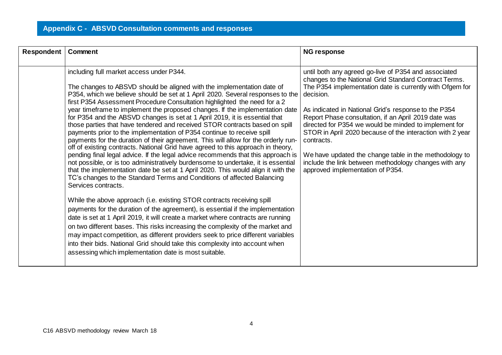| Respondent | Comment                                                                                                                                                                                                                                                                                                                                                                                                                                                                                                                                                                                                                                                                                                                                                                                                                                                                                                                                                                                                                                                                                                                                                                                                                                                                                                                                                                                                                                                                                                                                                                                                                                                                                                             | <b>NG response</b>                                                                                                                                                                                                                                                                                                                                                                                                                                                                                                                                                                                |
|------------|---------------------------------------------------------------------------------------------------------------------------------------------------------------------------------------------------------------------------------------------------------------------------------------------------------------------------------------------------------------------------------------------------------------------------------------------------------------------------------------------------------------------------------------------------------------------------------------------------------------------------------------------------------------------------------------------------------------------------------------------------------------------------------------------------------------------------------------------------------------------------------------------------------------------------------------------------------------------------------------------------------------------------------------------------------------------------------------------------------------------------------------------------------------------------------------------------------------------------------------------------------------------------------------------------------------------------------------------------------------------------------------------------------------------------------------------------------------------------------------------------------------------------------------------------------------------------------------------------------------------------------------------------------------------------------------------------------------------|---------------------------------------------------------------------------------------------------------------------------------------------------------------------------------------------------------------------------------------------------------------------------------------------------------------------------------------------------------------------------------------------------------------------------------------------------------------------------------------------------------------------------------------------------------------------------------------------------|
|            | including full market access under P344.<br>The changes to ABSVD should be aligned with the implementation date of<br>P354, which we believe should be set at 1 April 2020. Several responses to the<br>first P354 Assessment Procedure Consultation highlighted the need for a 2<br>year timeframe to implement the proposed changes. If the implementation date<br>for P354 and the ABSVD changes is set at 1 April 2019, it is essential that<br>those parties that have tendered and received STOR contracts based on spill<br>payments prior to the implementation of P354 continue to receive spill<br>payments for the duration of their agreement. This will allow for the orderly run-<br>off of existing contracts. National Grid have agreed to this approach in theory,<br>pending final legal advice. If the legal advice recommends that this approach is<br>not possible, or is too administratively burdensome to undertake, it is essential<br>that the implementation date be set at 1 April 2020. This would align it with the<br>TC's changes to the Standard Terms and Conditions of affected Balancing<br>Services contracts.<br>While the above approach (i.e. existing STOR contracts receiving spill<br>payments for the duration of the agreement), is essential if the implementation<br>date is set at 1 April 2019, it will create a market where contracts are running<br>on two different bases. This risks increasing the complexity of the market and<br>may impact competition, as different providers seek to price different variables<br>into their bids. National Grid should take this complexity into account when<br>assessing which implementation date is most suitable. | until both any agreed go-live of P354 and associated<br>changes to the National Grid Standard Contract Terms.<br>The P354 implementation date is currently with Ofgem for<br>decision.<br>As indicated in National Grid's response to the P354<br>Report Phase consultation, if an April 2019 date was<br>directed for P354 we would be minded to implement for<br>STOR in April 2020 because of the interaction with 2 year<br>contracts.<br>We have updated the change table in the methodology to<br>include the link between methodology changes with any<br>approved implementation of P354. |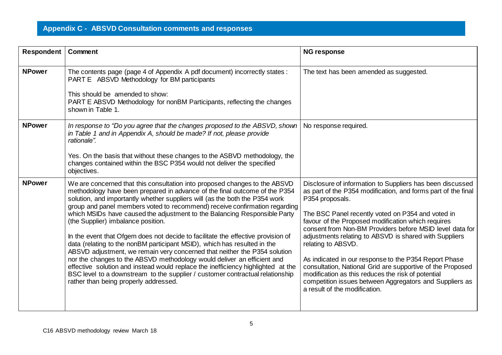| <b>Respondent   Comment</b> |                                                                                                                                                                                                                                                                                                                                                                                                                                                                                                                                                                                                                                                                                                                                                                                                                                                                                                                                                                                | <b>NG response</b>                                                                                                                                                                                                                                                                                                                                                                                                                                                                                                                                                                                                                                                            |
|-----------------------------|--------------------------------------------------------------------------------------------------------------------------------------------------------------------------------------------------------------------------------------------------------------------------------------------------------------------------------------------------------------------------------------------------------------------------------------------------------------------------------------------------------------------------------------------------------------------------------------------------------------------------------------------------------------------------------------------------------------------------------------------------------------------------------------------------------------------------------------------------------------------------------------------------------------------------------------------------------------------------------|-------------------------------------------------------------------------------------------------------------------------------------------------------------------------------------------------------------------------------------------------------------------------------------------------------------------------------------------------------------------------------------------------------------------------------------------------------------------------------------------------------------------------------------------------------------------------------------------------------------------------------------------------------------------------------|
| <b>NPower</b>               | The contents page (page 4 of Appendix A pdf document) incorrectly states :<br>PART E ABSVD Methodology for BM participants<br>This should be amended to show:<br>PART E ABSVD Methodology for nonBM Participants, reflecting the changes<br>shown in Table 1.                                                                                                                                                                                                                                                                                                                                                                                                                                                                                                                                                                                                                                                                                                                  | The text has been amended as suggested.                                                                                                                                                                                                                                                                                                                                                                                                                                                                                                                                                                                                                                       |
| <b>NPower</b>               | In response to "Do you agree that the changes proposed to the ABSVD, shown<br>in Table 1 and in Appendix A, should be made? If not, please provide<br>rationale".<br>Yes. On the basis that without these changes to the ASBVD methodology, the<br>changes contained within the BSC P354 would not deliver the specified<br>objectives.                                                                                                                                                                                                                                                                                                                                                                                                                                                                                                                                                                                                                                        | No response required.                                                                                                                                                                                                                                                                                                                                                                                                                                                                                                                                                                                                                                                         |
| <b>NPower</b>               | We are concerned that this consultation into proposed changes to the ABSVD<br>methodology have been prepared in advance of the final outcome of the P354<br>solution, and importantly whether suppliers will (as the both the P354 work<br>group and panel members voted to recommend) receive confirmation regarding<br>which MSIDs have caused the adjustment to the Balancing Responsible Party<br>(the Supplier) imbalance position.<br>In the event that Ofgem does not decide to facilitate the effective provision of<br>data (relating to the nonBM participant MSID), which has resulted in the<br>ABSVD adjustment, we remain very concerned that neither the P354 solution<br>nor the changes to the ABSVD methodology would deliver an efficient and<br>effective solution and instead would replace the inefficiency highlighted at the<br>BSC level to a downstream to the supplier / customer contractual relationship<br>rather than being properly addressed. | Disclosure of information to Suppliers has been discussed<br>as part of the P354 modification, and forms part of the final<br>P354 proposals.<br>The BSC Panel recently voted on P354 and voted in<br>favour of the Proposed modification which requires<br>consent from Non-BM Providers before MSID level data for<br>adjustments relating to ABSVD is shared with Suppliers<br>relating to ABSVD.<br>As indicated in our response to the P354 Report Phase<br>consultation, National Grid are supportive of the Proposed<br>modification as this reduces the risk of potential<br>competition issues between Aggregators and Suppliers as<br>a result of the modification. |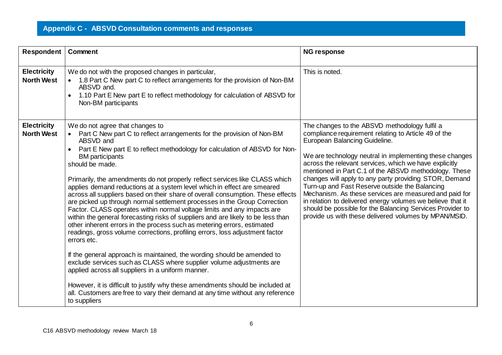| <b>Respondent   Comment</b>             |                                                                                                                                                                                                                                                                                                                                                                                                                                                                                                                                                                                                                                                                                                                                                                                                                                                                                                                                                                                                                                                                                                                                                                                                                                                                                                                              | <b>NG response</b>                                                                                                                                                                                                                                                                                                                                                                                                                                                                                                                                                                                                                                                             |
|-----------------------------------------|------------------------------------------------------------------------------------------------------------------------------------------------------------------------------------------------------------------------------------------------------------------------------------------------------------------------------------------------------------------------------------------------------------------------------------------------------------------------------------------------------------------------------------------------------------------------------------------------------------------------------------------------------------------------------------------------------------------------------------------------------------------------------------------------------------------------------------------------------------------------------------------------------------------------------------------------------------------------------------------------------------------------------------------------------------------------------------------------------------------------------------------------------------------------------------------------------------------------------------------------------------------------------------------------------------------------------|--------------------------------------------------------------------------------------------------------------------------------------------------------------------------------------------------------------------------------------------------------------------------------------------------------------------------------------------------------------------------------------------------------------------------------------------------------------------------------------------------------------------------------------------------------------------------------------------------------------------------------------------------------------------------------|
| <b>Electricity</b><br><b>North West</b> | We do not with the proposed changes in particular,<br>1.8 Part C New part C to reflect arrangements for the provision of Non-BM<br>ABSVD and.<br>1.10 Part E New part E to reflect methodology for calculation of ABSVD for<br>Non-BM participants                                                                                                                                                                                                                                                                                                                                                                                                                                                                                                                                                                                                                                                                                                                                                                                                                                                                                                                                                                                                                                                                           | This is noted.                                                                                                                                                                                                                                                                                                                                                                                                                                                                                                                                                                                                                                                                 |
| <b>Electricity</b><br><b>North West</b> | We do not agree that changes to<br>Part C New part C to reflect arrangements for the provision of Non-BM<br>$\bullet$<br>ABSVD and<br>Part E New part E to reflect methodology for calculation of ABSVD for Non-<br><b>BM</b> participants<br>should be made.<br>Primarily, the amendments do not properly reflect services like CLASS which<br>applies demand reductions at a system level which in effect are smeared<br>across all suppliers based on their share of overall consumption. These effects<br>are picked up through normal settlement processes in the Group Correction<br>Factor. CLASS operates within normal voltage limits and any impacts are<br>within the general forecasting risks of suppliers and are likely to be less than<br>other inherent errors in the process such as metering errors, estimated<br>readings, gross volume corrections, profiling errors, loss adjustment factor<br>errors etc.<br>If the general approach is maintained, the wording should be amended to<br>exclude services such as CLASS where supplier volume adjustments are<br>applied across all suppliers in a uniform manner.<br>However, it is difficult to justify why these amendments should be included at<br>all. Customers are free to vary their demand at any time without any reference<br>to suppliers | The changes to the ABSVD methodology fulfil a<br>compliance requirement relating to Article 49 of the<br>European Balancing Guideline.<br>We are technology neutral in implementing these changes<br>across the relevant services, which we have explicitly<br>mentioned in Part C.1 of the ABSVD methodology. These<br>changes will apply to any party providing STOR, Demand<br>Turn-up and Fast Reserve outside the Balancing<br>Mechanism. As these services are measured and paid for<br>in relation to delivered energy volumes we believe that it<br>should be possible for the Balancing Services Provider to<br>provide us with these delivered volumes by MPAN/MSID. |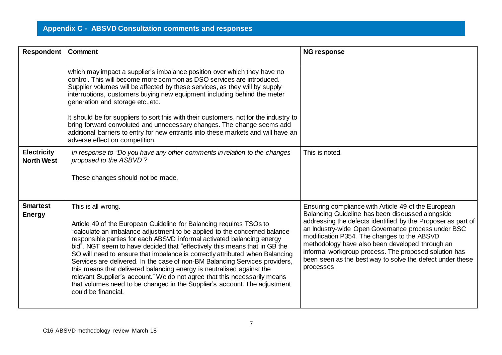| <b>Respondent   Comment</b>             |                                                                                                                                                                                                                                                                                                                                                                                                                                                                                                                                                                                                                                                                                                                                                         | <b>NG response</b>                                                                                                                                                                                                                                                                                                                                                                                                                                                  |
|-----------------------------------------|---------------------------------------------------------------------------------------------------------------------------------------------------------------------------------------------------------------------------------------------------------------------------------------------------------------------------------------------------------------------------------------------------------------------------------------------------------------------------------------------------------------------------------------------------------------------------------------------------------------------------------------------------------------------------------------------------------------------------------------------------------|---------------------------------------------------------------------------------------------------------------------------------------------------------------------------------------------------------------------------------------------------------------------------------------------------------------------------------------------------------------------------------------------------------------------------------------------------------------------|
|                                         | which may impact a supplier's imbalance position over which they have no<br>control. This will become more common as DSO services are introduced.<br>Supplier volumes will be affected by these services, as they will by supply<br>interruptions, customers buying new equipment including behind the meter<br>generation and storage etc., etc.                                                                                                                                                                                                                                                                                                                                                                                                       |                                                                                                                                                                                                                                                                                                                                                                                                                                                                     |
|                                         | It should be for suppliers to sort this with their customers, not for the industry to<br>bring forward convoluted and unnecessary changes. The change seems add<br>additional barriers to entry for new entrants into these markets and will have an<br>adverse effect on competition.                                                                                                                                                                                                                                                                                                                                                                                                                                                                  |                                                                                                                                                                                                                                                                                                                                                                                                                                                                     |
| <b>Electricity</b><br><b>North West</b> | In response to "Do you have any other comments in relation to the changes<br>proposed to the ASBVD"?                                                                                                                                                                                                                                                                                                                                                                                                                                                                                                                                                                                                                                                    | This is noted.                                                                                                                                                                                                                                                                                                                                                                                                                                                      |
|                                         | These changes should not be made.                                                                                                                                                                                                                                                                                                                                                                                                                                                                                                                                                                                                                                                                                                                       |                                                                                                                                                                                                                                                                                                                                                                                                                                                                     |
| <b>Smartest</b><br><b>Energy</b>        | This is all wrong.<br>Article 49 of the European Guideline for Balancing requires TSOs to<br>"calculate an imbalance adjustment to be applied to the concerned balance<br>responsible parties for each ABSVD informal activated balancing energy<br>bid". NGT seem to have decided that "effectively this means that in GB the<br>SO will need to ensure that imbalance is correctly attributed when Balancing<br>Services are delivered. In the case of non-BM Balancing Services providers,<br>this means that delivered balancing energy is neutralised against the<br>relevant Supplier's account." We do not agree that this necessarily means<br>that volumes need to be changed in the Supplier's account. The adjustment<br>could be financial. | Ensuring compliance with Article 49 of the European<br>Balancing Guideline has been discussed alongside<br>addressing the defects identified by the Proposer as part of<br>an Industry-wide Open Governance process under BSC<br>modification P354. The changes to the ABSVD<br>methodology have also been developed through an<br>informal workgroup process. The proposed solution has<br>been seen as the best way to solve the defect under these<br>processes. |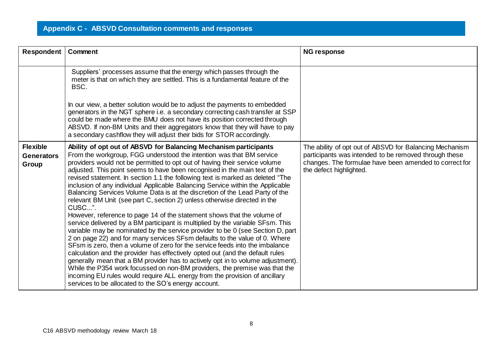| Respondent                                    | Comment                                                                                                                                                                                                                                                                                                                                                                                                                                                                                                                                                                                                                                                                                                                                                                                                                                                                                                                                                                                                                                                                                                                                                                                                                                                                                                                                                                                                                                              | <b>NG response</b>                                                                                                                                                                                    |
|-----------------------------------------------|------------------------------------------------------------------------------------------------------------------------------------------------------------------------------------------------------------------------------------------------------------------------------------------------------------------------------------------------------------------------------------------------------------------------------------------------------------------------------------------------------------------------------------------------------------------------------------------------------------------------------------------------------------------------------------------------------------------------------------------------------------------------------------------------------------------------------------------------------------------------------------------------------------------------------------------------------------------------------------------------------------------------------------------------------------------------------------------------------------------------------------------------------------------------------------------------------------------------------------------------------------------------------------------------------------------------------------------------------------------------------------------------------------------------------------------------------|-------------------------------------------------------------------------------------------------------------------------------------------------------------------------------------------------------|
|                                               | Suppliers' processes assume that the energy which passes through the<br>meter is that on which they are settled. This is a fundamental feature of the<br>BSC.                                                                                                                                                                                                                                                                                                                                                                                                                                                                                                                                                                                                                                                                                                                                                                                                                                                                                                                                                                                                                                                                                                                                                                                                                                                                                        |                                                                                                                                                                                                       |
|                                               | In our view, a better solution would be to adjust the payments to embedded<br>generators in the NGT sphere i.e. a secondary correcting cash transfer at SSP<br>could be made where the BMU does not have its position corrected through<br>ABSVD. If non-BM Units and their aggregators know that they will have to pay<br>a secondary cashflow they will adjust their bids for STOR accordingly.                                                                                                                                                                                                                                                                                                                                                                                                                                                                                                                                                                                                                                                                                                                                                                                                                                                                                                                                                                                                                                                    |                                                                                                                                                                                                       |
| <b>Flexible</b><br><b>Generators</b><br>Group | Ability of opt out of ABSVD for Balancing Mechanism participants<br>From the workgroup, FGG understood the intention was that BM service<br>providers would not be permitted to opt out of having their service volume<br>adjusted. This point seems to have been recognised in the main text of the<br>revised statement. In section 1.1 the following text is marked as deleted "The<br>inclusion of any individual Applicable Balancing Service within the Applicable<br>Balancing Services Volume Data is at the discretion of the Lead Party of the<br>relevant BM Unit (see part C, section 2) unless otherwise directed in the<br>CUSC".<br>However, reference to page 14 of the statement shows that the volume of<br>service delivered by a BM participant is multiplied by the variable SFsm. This<br>variable may be nominated by the service provider to be 0 (see Section D, part<br>2 on page 22) and for many services SFsm defaults to the value of 0. Where<br>SFsm is zero, then a volume of zero for the service feeds into the imbalance<br>calculation and the provider has effectively opted out (and the default rules<br>generally mean that a BM provider has to actively opt in to volume adjustment).<br>While the P354 work focussed on non-BM providers, the premise was that the<br>incoming EU rules would require ALL energy from the provision of ancillary<br>services to be allocated to the SO's energy account. | The ability of opt out of ABSVD for Balancing Mechanism<br>participants was intended to be removed through these<br>changes. The formulae have been amended to correct for<br>the defect highlighted. |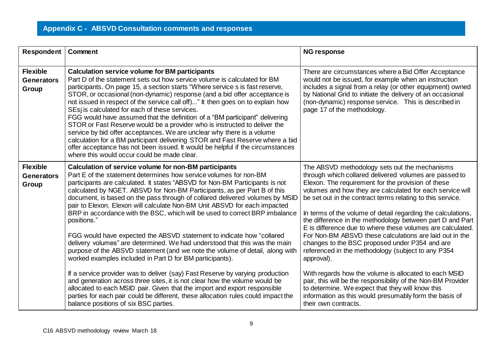| <b>Respondent   Comment</b>                   |                                                                                                                                                                                                                                                                                                                                                                                                                                                                                                                                                                                                                                                                                                                                                                                                                                                                                                                                       | <b>NG response</b>                                                                                                                                                                                                                                                                                                                                                                                                                                                                                                                                                                                                                                                                                                            |
|-----------------------------------------------|---------------------------------------------------------------------------------------------------------------------------------------------------------------------------------------------------------------------------------------------------------------------------------------------------------------------------------------------------------------------------------------------------------------------------------------------------------------------------------------------------------------------------------------------------------------------------------------------------------------------------------------------------------------------------------------------------------------------------------------------------------------------------------------------------------------------------------------------------------------------------------------------------------------------------------------|-------------------------------------------------------------------------------------------------------------------------------------------------------------------------------------------------------------------------------------------------------------------------------------------------------------------------------------------------------------------------------------------------------------------------------------------------------------------------------------------------------------------------------------------------------------------------------------------------------------------------------------------------------------------------------------------------------------------------------|
| <b>Flexible</b><br><b>Generators</b><br>Group | <b>Calculation service volume for BM participants</b><br>Part D of the statement sets out how service volume is calculated for BM<br>participants. On page 15, a section starts "Where service s is fast reserve,<br>STOR, or occasional (non-dynamic) response (and a bid offer acceptance is<br>not issued in respect of the service call off)" It then goes on to explain how<br>SEsj is calculated for each of these services.<br>FGG would have assumed that the definition of a "BM participant" delivering<br>STOR or Fast Reserve would be a provider who is instructed to deliver the<br>service by bid offer acceptances. We are unclear why there is a volume<br>calculation for a BM participant delivering STOR and Fast Reserve where a bid<br>offer acceptance has not been issued. It would be helpful if the circumstances<br>where this would occur could be made clear.                                            | There are circumstances where a Bid Offer Acceptance<br>would not be issued, for example when an instruction<br>includes a signal from a relay (or other equipment) owned<br>by National Grid to initiate the delivery of an occasional<br>(non-dynamic) response service. This is described in<br>page 17 of the methodology.                                                                                                                                                                                                                                                                                                                                                                                                |
| <b>Flexible</b><br><b>Generators</b><br>Group | Calculation of service volume for non-BM participants<br>Part E of the statement determines how service volumes for non-BM<br>participants are calculated. It states "ABSVD for Non-BM Participants is not<br>calculated by NGET. ABSVD for Non-BM Participants, as per Part B of this<br>document, is based on the pass through of collared delivered volumes by MSID<br>pair to Elexon. Elexon will calculate Non-BM Unit ABSVD for each impacted<br>BRP in accordance with the BSC, which will be used to correct BRP imbalance<br>positions."<br>FGG would have expected the ABSVD statement to indicate how "collared<br>delivery volumes" are determined. We had understood that this was the main<br>purpose of the ABSVD statement (and we note the volume of detail, along with<br>worked examples included in Part D for BM participants).<br>If a service provider was to deliver (say) Fast Reserve by varying production | The ABSVD methodology sets out the mechanisms<br>through which collared delivered volumes are passed to<br>Elexon. The requirement for the provision of these<br>volumes and how they are calculated for each service will<br>be set out in the contract terms relating to this service.<br>In terms of the volume of detail regarding the calculations,<br>the difference in the methodology between part D and Part<br>E is difference due to where these volumes are calculated.<br>For Non-BM ABSVD these calculations are laid out in the<br>changes to the BSC proposed under P354 and are<br>referenced in the methodology (subject to any P354<br>approval).<br>With regards how the volume is allocated to each MSID |
|                                               | and generation across three sites, it is not clear how the volume would be<br>allocated to each MSID pair. Given that the import and export responsible<br>parties for each pair could be different, these allocation rules could impact the<br>balance positions of six BSC parties.                                                                                                                                                                                                                                                                                                                                                                                                                                                                                                                                                                                                                                                 | pair, this will be the responsibility of the Non-BM Provider<br>to determine. We expect that they will know this<br>information as this would presumably form the basis of<br>their own contracts.                                                                                                                                                                                                                                                                                                                                                                                                                                                                                                                            |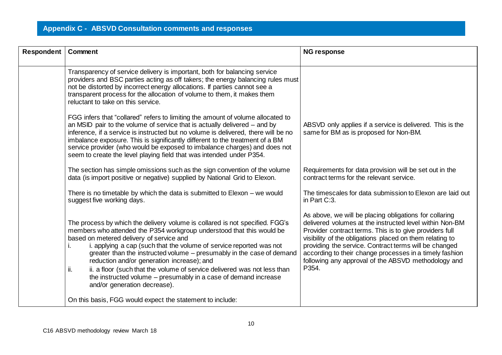| Respondent | Comment                                                                                                                                                                                                                                                                                                                                                                                                                                                                                                                                                                               | <b>NG response</b>                                                                                                                                                                                                                                                                                                                                                                                                           |
|------------|---------------------------------------------------------------------------------------------------------------------------------------------------------------------------------------------------------------------------------------------------------------------------------------------------------------------------------------------------------------------------------------------------------------------------------------------------------------------------------------------------------------------------------------------------------------------------------------|------------------------------------------------------------------------------------------------------------------------------------------------------------------------------------------------------------------------------------------------------------------------------------------------------------------------------------------------------------------------------------------------------------------------------|
|            | Transparency of service delivery is important, both for balancing service<br>providers and BSC parties acting as off takers; the energy balancing rules must<br>not be distorted by incorrect energy allocations. If parties cannot see a<br>transparent process for the allocation of volume to them, it makes them<br>reluctant to take on this service.                                                                                                                                                                                                                            |                                                                                                                                                                                                                                                                                                                                                                                                                              |
|            | FGG infers that "collared" refers to limiting the amount of volume allocated to<br>an MSID pair to the volume of service that is actually delivered – and by<br>inference, if a service is instructed but no volume is delivered, there will be no<br>imbalance exposure. This is significantly different to the treatment of a BM<br>service provider (who would be exposed to imbalance charges) and does not<br>seem to create the level playing field that was intended under P354.                                                                                               | ABSVD only applies if a service is delivered. This is the<br>same for BM as is proposed for Non-BM.                                                                                                                                                                                                                                                                                                                          |
|            | The section has simple omissions such as the sign convention of the volume<br>data (is import positive or negative) supplied by National Grid to Elexon.                                                                                                                                                                                                                                                                                                                                                                                                                              | Requirements for data provision will be set out in the<br>contract terms for the relevant service.                                                                                                                                                                                                                                                                                                                           |
|            | There is no timetable by which the data is submitted to Elexon $-$ we would<br>suggest five working days.                                                                                                                                                                                                                                                                                                                                                                                                                                                                             | The timescales for data submission to Elexon are laid out<br>in Part C:3.                                                                                                                                                                                                                                                                                                                                                    |
|            | The process by which the delivery volume is collared is not specified. FGG's<br>members who attended the P354 workgroup understood that this would be<br>based on metered delivery of service and<br>i. applying a cap (such that the volume of service reported was not<br>greater than the instructed volume – presumably in the case of demand<br>reduction and/or generation increase); and<br>ii. a floor (such that the volume of service delivered was not less than<br>ii.<br>the instructed volume – presumably in a case of demand increase<br>and/or generation decrease). | As above, we will be placing obligations for collaring<br>delivered volumes at the instructed level within Non-BM<br>Provider contract terms. This is to give providers full<br>visibility of the obligations placed on them relating to<br>providing the service. Contract terms will be changed<br>according to their change processes in a timely fashion<br>following any approval of the ABSVD methodology and<br>P354. |
|            | On this basis, FGG would expect the statement to include:                                                                                                                                                                                                                                                                                                                                                                                                                                                                                                                             |                                                                                                                                                                                                                                                                                                                                                                                                                              |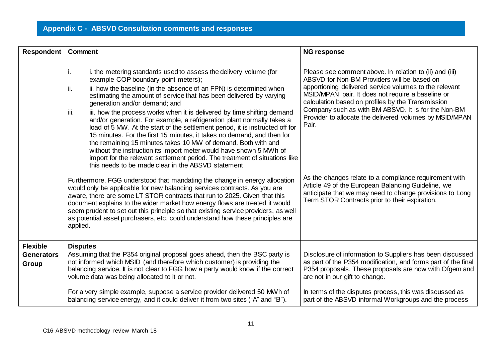| Respondent                                    | <b>Comment</b>                                                                                                                                                                                                                                                                                                                                                                                                                                                                                                                                                                                                                                                                                                                                                                                                                                                                                          | <b>NG response</b>                                                                                                                                                                                                                                                                                                                                                                                    |
|-----------------------------------------------|---------------------------------------------------------------------------------------------------------------------------------------------------------------------------------------------------------------------------------------------------------------------------------------------------------------------------------------------------------------------------------------------------------------------------------------------------------------------------------------------------------------------------------------------------------------------------------------------------------------------------------------------------------------------------------------------------------------------------------------------------------------------------------------------------------------------------------------------------------------------------------------------------------|-------------------------------------------------------------------------------------------------------------------------------------------------------------------------------------------------------------------------------------------------------------------------------------------------------------------------------------------------------------------------------------------------------|
|                                               | i. the metering standards used to assess the delivery volume (for<br>Ι.<br>example COP boundary point meters);<br>ii. how the baseline (in the absence of an FPN) is determined when<br>II.<br>estimating the amount of service that has been delivered by varying<br>generation and/or demand; and<br>iii.<br>iii. how the process works when it is delivered by time shifting demand<br>and/or generation. For example, a refrigeration plant normally takes a<br>load of 5 MW. At the start of the settlement period, it is instructed off for<br>15 minutes. For the first 15 minutes, it takes no demand, and then for<br>the remaining 15 minutes takes 10 MW of demand. Both with and<br>without the instruction its import meter would have shown 5 MWh of<br>import for the relevant settlement period. The treatment of situations like<br>this needs to be made clear in the ABSVD statement | Please see comment above. In relation to (ii) and (iii)<br>ABSVD for Non-BM Providers will be based on<br>apportioning delivered service volumes to the relevant<br>MSID/MPAN pair. It does not require a baseline or<br>calculation based on profiles by the Transmission<br>Company such as with BM ABSVD. It is for the Non-BM<br>Provider to allocate the delivered volumes by MSID/MPAN<br>Pair. |
|                                               | Furthermore, FGG understood that mandating the change in energy allocation<br>would only be applicable for new balancing services contracts. As you are<br>aware, there are some LT STOR contracts that run to 2025. Given that this<br>document explains to the wider market how energy flows are treated it would<br>seem prudent to set out this principle so that existing service providers, as well<br>as potential asset purchasers, etc. could understand how these principles are<br>applied.                                                                                                                                                                                                                                                                                                                                                                                                  | As the changes relate to a compliance requirement with<br>Article 49 of the European Balancing Guideline, we<br>anticipate that we may need to change provisions to Long<br>Term STOR Contracts prior to their expiration.                                                                                                                                                                            |
| <b>Flexible</b><br><b>Generators</b><br>Group | <b>Disputes</b><br>Assuming that the P354 original proposal goes ahead, then the BSC party is<br>not informed which MSID (and therefore which customer) is providing the<br>balancing service. It is not clear to FGG how a party would know if the correct<br>volume data was being allocated to it or not.                                                                                                                                                                                                                                                                                                                                                                                                                                                                                                                                                                                            | Disclosure of information to Suppliers has been discussed<br>as part of the P354 modification, and forms part of the final<br>P354 proposals. These proposals are now with Ofgem and<br>are not in our gift to change.                                                                                                                                                                                |
|                                               | For a very simple example, suppose a service provider delivered 50 MWh of<br>balancing service energy, and it could deliver it from two sites ("A" and "B").                                                                                                                                                                                                                                                                                                                                                                                                                                                                                                                                                                                                                                                                                                                                            | In terms of the disputes process, this was discussed as<br>part of the ABSVD informal Workgroups and the process                                                                                                                                                                                                                                                                                      |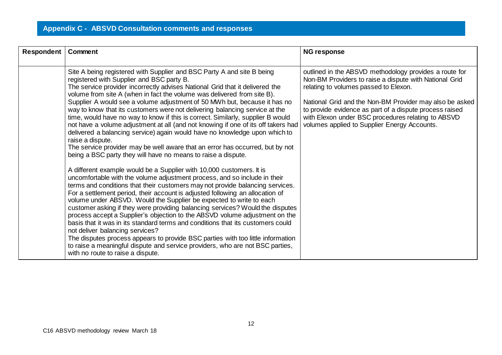| Respondent | Comment                                                                                                                                                                                                                                                                                                                                                                                                                                                                                                                                                                                                                                                                                                                                                                                                                                                                                                                                                                                                                                                                                                                                                                                                                                                                                                                                                                                                                                                                                                                                                                                                                                                                                                                                                             | <b>NG response</b>                                                                                                                                                                                                                                                                                                                                                                    |
|------------|---------------------------------------------------------------------------------------------------------------------------------------------------------------------------------------------------------------------------------------------------------------------------------------------------------------------------------------------------------------------------------------------------------------------------------------------------------------------------------------------------------------------------------------------------------------------------------------------------------------------------------------------------------------------------------------------------------------------------------------------------------------------------------------------------------------------------------------------------------------------------------------------------------------------------------------------------------------------------------------------------------------------------------------------------------------------------------------------------------------------------------------------------------------------------------------------------------------------------------------------------------------------------------------------------------------------------------------------------------------------------------------------------------------------------------------------------------------------------------------------------------------------------------------------------------------------------------------------------------------------------------------------------------------------------------------------------------------------------------------------------------------------|---------------------------------------------------------------------------------------------------------------------------------------------------------------------------------------------------------------------------------------------------------------------------------------------------------------------------------------------------------------------------------------|
|            | Site A being registered with Supplier and BSC Party A and site B being<br>registered with Supplier and BSC party B.<br>The service provider incorrectly advises National Grid that it delivered the<br>volume from site A (when in fact the volume was delivered from site B).<br>Supplier A would see a volume adjustment of 50 MWh but, because it has no<br>way to know that its customers were not delivering balancing service at the<br>time, would have no way to know if this is correct. Similarly, supplier B would<br>not have a volume adjustment at all (and not knowing if one of its off takers had<br>delivered a balancing service) again would have no knowledge upon which to<br>raise a dispute.<br>The service provider may be well aware that an error has occurred, but by not<br>being a BSC party they will have no means to raise a dispute.<br>A different example would be a Supplier with 10,000 customers. It is<br>uncomfortable with the volume adjustment process, and so include in their<br>terms and conditions that their customers may not provide balancing services.<br>For a settlement period, their account is adjusted following an allocation of<br>volume under ABSVD. Would the Supplier be expected to write to each<br>customer asking if they were providing balancing services? Would the disputes<br>process accept a Supplier's objection to the ABSVD volume adjustment on the<br>basis that it was in its standard terms and conditions that its customers could<br>not deliver balancing services?<br>The disputes process appears to provide BSC parties with too little information<br>to raise a meaningful dispute and service providers, who are not BSC parties,<br>with no route to raise a dispute. | outlined in the ABSVD methodology provides a route for<br>Non-BM Providers to raise a dispute with National Grid<br>relating to volumes passed to Elexon.<br>National Grid and the Non-BM Provider may also be asked<br>to provide evidence as part of a dispute process raised<br>with Elexon under BSC procedures relating to ABSVD<br>volumes applied to Supplier Energy Accounts. |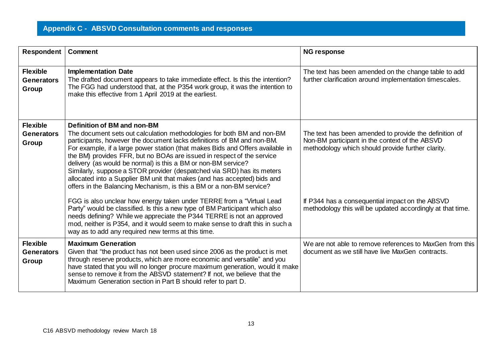| Respondent                                    | Comment                                                                                                                                                                                                                                                                                                                                                                                                                                                                                                                                                                                                                                    | <b>NG response</b>                                                                                                                                            |
|-----------------------------------------------|--------------------------------------------------------------------------------------------------------------------------------------------------------------------------------------------------------------------------------------------------------------------------------------------------------------------------------------------------------------------------------------------------------------------------------------------------------------------------------------------------------------------------------------------------------------------------------------------------------------------------------------------|---------------------------------------------------------------------------------------------------------------------------------------------------------------|
| <b>Flexible</b><br><b>Generators</b><br>Group | <b>Implementation Date</b><br>The drafted document appears to take immediate effect. Is this the intention?<br>The FGG had understood that, at the P354 work group, it was the intention to<br>make this effective from 1 April 2019 at the earliest.                                                                                                                                                                                                                                                                                                                                                                                      | The text has been amended on the change table to add<br>further clarification around implementation timescales.                                               |
| <b>Flexible</b><br><b>Generators</b><br>Group | Definition of BM and non-BM<br>The document sets out calculation methodologies for both BM and non-BM<br>participants, however the document lacks definitions of BM and non-BM.<br>For example, if a large power station (that makes Bids and Offers available in<br>the BM) provides FFR, but no BOAs are issued in respect of the service<br>delivery (as would be normal) is this a BM or non-BM service?<br>Similarly, suppose a STOR provider (despatched via SRD) has its meters<br>allocated into a Supplier BM unit that makes (and has accepted) bids and<br>offers in the Balancing Mechanism, is this a BM or a non-BM service? | The text has been amended to provide the definition of<br>Non-BM participant in the context of the ABSVD<br>methodology which should provide further clarity. |
|                                               | FGG is also unclear how energy taken under TERRE from a "Virtual Lead<br>Party" would be classified. Is this a new type of BM Participant which also<br>needs defining? While we appreciate the P344 TERRE is not an approved<br>mod, neither is P354, and it would seem to make sense to draft this in such a<br>way as to add any required new terms at this time.                                                                                                                                                                                                                                                                       | If P344 has a consequential impact on the ABSVD<br>methodology this will be updated accordingly at that time.                                                 |
| <b>Flexible</b><br><b>Generators</b><br>Group | <b>Maximum Generation</b><br>Given that "the product has not been used since 2006 as the product is met<br>through reserve products, which are more economic and versatile" and you<br>have stated that you will no longer procure maximum generation, would it make<br>sense to remove it from the ABSVD statement? If not, we believe that the<br>Maximum Generation section in Part B should refer to part D.                                                                                                                                                                                                                           | We are not able to remove references to MaxGen from this<br>document as we still have live MaxGen contracts.                                                  |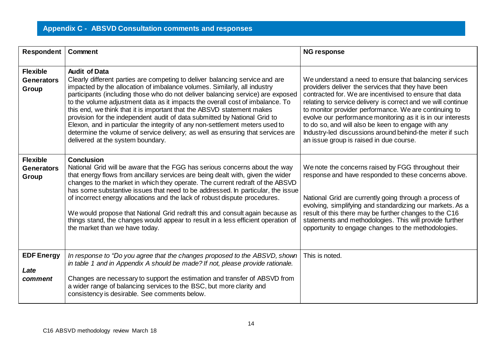| Respondent                                    | Comment                                                                                                                                                                                                                                                                                                                                                                                                                                                                                                                                                                                                                                                                                                             | <b>NG response</b>                                                                                                                                                                                                                                                                                                                                                                                                                                                                                                           |
|-----------------------------------------------|---------------------------------------------------------------------------------------------------------------------------------------------------------------------------------------------------------------------------------------------------------------------------------------------------------------------------------------------------------------------------------------------------------------------------------------------------------------------------------------------------------------------------------------------------------------------------------------------------------------------------------------------------------------------------------------------------------------------|------------------------------------------------------------------------------------------------------------------------------------------------------------------------------------------------------------------------------------------------------------------------------------------------------------------------------------------------------------------------------------------------------------------------------------------------------------------------------------------------------------------------------|
| <b>Flexible</b><br><b>Generators</b><br>Group | <b>Audit of Data</b><br>Clearly different parties are competing to deliver balancing service and are<br>impacted by the allocation of imbalance volumes. Similarly, all industry<br>participants (including those who do not deliver balancing service) are exposed<br>to the volume adjustment data as it impacts the overall cost of imbalance. To<br>this end, we think that it is important that the ABSVD statement makes<br>provision for the independent audit of data submitted by National Grid to<br>Elexon, and in particular the integrity of any non-settlement meters used to<br>determine the volume of service delivery; as well as ensuring that services are<br>delivered at the system boundary. | We understand a need to ensure that balancing services<br>providers deliver the services that they have been<br>contracted for. We are incentivised to ensure that data<br>relating to service delivery is correct and we will continue<br>to monitor provider performance. We are continuing to<br>evolve our performance monitoring as it is in our interests<br>to do so, and will also be keen to engage with any<br>Industry-led discussions around behind-the meter if such<br>an issue group is raised in due course. |
| <b>Flexible</b><br><b>Generators</b><br>Group | <b>Conclusion</b><br>National Grid will be aware that the FGG has serious concerns about the way<br>that energy flows from ancillary services are being dealt with, given the wider<br>changes to the market in which they operate. The current redraft of the ABSVD<br>has some substantive issues that need to be addressed. In particular, the issue<br>of incorrect energy allocations and the lack of robust dispute procedures.<br>We would propose that National Grid redraft this and consult again because as<br>things stand, the changes would appear to result in a less efficient operation of<br>the market than we have today.                                                                       | We note the concerns raised by FGG throughout their<br>response and have responded to these concerns above.<br>National Grid are currently going through a process of<br>evolving, simplifying and standardizing our markets. As a<br>result of this there may be further changes to the C16<br>statements and methodologies. This will provide further<br>opportunity to engage changes to the methodologies.                                                                                                               |
| <b>EDF Energy</b><br>Late<br>comment          | In response to "Do you agree that the changes proposed to the ABSVD, shown<br>in table 1 and in Appendix A should be made? If not, please provide rationale.<br>Changes are necessary to support the estimation and transfer of ABSVD from<br>a wider range of balancing services to the BSC, but more clarity and<br>consistency is desirable. See comments below.                                                                                                                                                                                                                                                                                                                                                 | This is noted.                                                                                                                                                                                                                                                                                                                                                                                                                                                                                                               |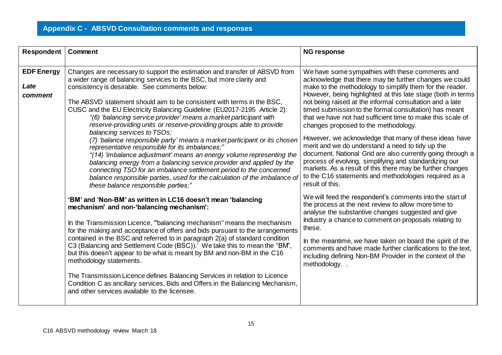| <b>Respondent</b>                    | Comment                                                                                                                                                                                                                                                                                                                                                                                                                                                                                                                                                                                                                                                                                                                                                                                                                                                                                                                                                                                                        | <b>NG response</b>                                                                                                                                                                                                                                                                                                                                                                                                                                                                                                                                                                                                                                                                                                                                                                                                                              |
|--------------------------------------|----------------------------------------------------------------------------------------------------------------------------------------------------------------------------------------------------------------------------------------------------------------------------------------------------------------------------------------------------------------------------------------------------------------------------------------------------------------------------------------------------------------------------------------------------------------------------------------------------------------------------------------------------------------------------------------------------------------------------------------------------------------------------------------------------------------------------------------------------------------------------------------------------------------------------------------------------------------------------------------------------------------|-------------------------------------------------------------------------------------------------------------------------------------------------------------------------------------------------------------------------------------------------------------------------------------------------------------------------------------------------------------------------------------------------------------------------------------------------------------------------------------------------------------------------------------------------------------------------------------------------------------------------------------------------------------------------------------------------------------------------------------------------------------------------------------------------------------------------------------------------|
| <b>EDF Energy</b><br>Late<br>comment | Changes are necessary to support the estimation and transfer of ABSVD from<br>a wider range of balancing services to the BSC, but more clarity and<br>consistency is desirable. See comments below:<br>The ABSVD statement should aim to be consistent with terms in the BSC,<br>CUSC and the EU Electricity Balancing Guideline (EU2017-2195 Article 2):<br>"(6) 'balancing service provider' means a market participant with<br>reserve-providing units or reserve-providing groups able to provide<br>balancing services to TSOs;<br>(7) 'balance responsible party' means a market participant or its chosen<br>representative responsible for its imbalances;"<br>"(14) 'imbalance adjustment' means an energy volume representing the<br>balancing energy from a balancing service provider and applied by the<br>connecting TSO for an imbalance settlement period to the concerned<br>balance responsible parties, used for the calculation of the imbalance of<br>these balance responsible parties;" | We have some sympathies with these comments and<br>acknowledge that there may be further changes we could<br>make to the methodology to simplify them for the reader.<br>However, being highlighted at this late stage (both in terms<br>not being raised at the informal consultation and a late<br>timed submission to the formal consultation) has meant<br>that we have not had sufficient time to make this scale of<br>changes proposed to the methodology.<br>However, we acknowledge that many of these ideas have<br>merit and we do understand a need to tidy up the<br>document. National Grid are also currently going through a<br>process of evolving, simplifying and standardizing our<br>markets. As a result of this there may be further changes<br>to the C16 statements and methodologies required as a<br>result of this. |
|                                      | 'BM' and 'Non-BM' as written in LC16 doesn't mean 'balancing<br>mechanism' and non-'balancing mechanism':<br>In the Transmission Licence, "balancing mechanism" means the mechanism<br>for the making and acceptance of offers and bids pursuant to the arrangements<br>contained in the BSC and referred to in paragraph 2(a) of standard condition<br>C3 (Balancing and Settlement Code (BSC)). We take this to mean the "BM",<br>but this doesn't appear to be what is meant by BM and non-BM in the C16<br>methodology statements.<br>The Transmission Licence defines Balancing Services in relation to Licence<br>Condition C as ancillary services, Bids and Offers in the Balancing Mechanism,<br>and other services available to the licensee.                                                                                                                                                                                                                                                        | We will feed the respondent's comments into the start of<br>the process at the next review to allow more time to<br>analyse the substantive changes suggested and give<br>Industry a chance to comment on proposals relating to<br>these.<br>In the meantime, we have taken on board the spirit of the<br>comments and have made further clarifications to the text,<br>including defining Non-BM Provider in the context of the<br>methodology                                                                                                                                                                                                                                                                                                                                                                                                 |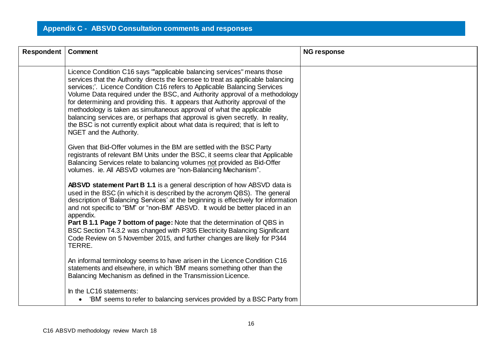| Respondent | Comment                                                                                                                                                                                                                                                                                                                                                                                                                                                                                                                                                                                                                                                                          | <b>NG response</b> |
|------------|----------------------------------------------------------------------------------------------------------------------------------------------------------------------------------------------------------------------------------------------------------------------------------------------------------------------------------------------------------------------------------------------------------------------------------------------------------------------------------------------------------------------------------------------------------------------------------------------------------------------------------------------------------------------------------|--------------------|
|            | Licence Condition C16 says "applicable balancing services" means those<br>services that the Authority directs the licensee to treat as applicable balancing<br>services;'. Licence Condition C16 refers to Applicable Balancing Services<br>Volume Data required under the BSC, and Authority approval of a methodology<br>for determining and providing this. It appears that Authority approval of the<br>methodology is taken as simultaneous approval of what the applicable<br>balancing services are, or perhaps that approval is given secretly. In reality,<br>the BSC is not currently explicit about what data is required; that is left to<br>NGET and the Authority. |                    |
|            | Given that Bid-Offer volumes in the BM are settled with the BSC Party<br>registrants of relevant BM Units under the BSC, it seems clear that Applicable<br>Balancing Services relate to balancing volumes not provided as Bid-Offer<br>volumes. ie. All ABSVD volumes are "non-Balancing Mechanism".                                                                                                                                                                                                                                                                                                                                                                             |                    |
|            | ABSVD statement Part B 1.1 is a general description of how ABSVD data is<br>used in the BSC (in which it is described by the acronym QBS). The general<br>description of 'Balancing Services' at the beginning is effectively for information<br>and not specific to "BM" or "non-BM" ABSVD. It would be better placed in an<br>appendix.<br><b>Part B 1.1 Page 7 bottom of page:</b> Note that the determination of QBS in<br>BSC Section T4.3.2 was changed with P305 Electricity Balancing Significant<br>Code Review on 5 November 2015, and further changes are likely for P344<br>TERRE.                                                                                   |                    |
|            | An informal terminology seems to have arisen in the Licence Condition C16<br>statements and elsewhere, in which 'BM' means something other than the<br>Balancing Mechanism as defined in the Transmission Licence.                                                                                                                                                                                                                                                                                                                                                                                                                                                               |                    |
|            | In the LC16 statements:<br>• 'BM' seems to refer to balancing services provided by a BSC Party from                                                                                                                                                                                                                                                                                                                                                                                                                                                                                                                                                                              |                    |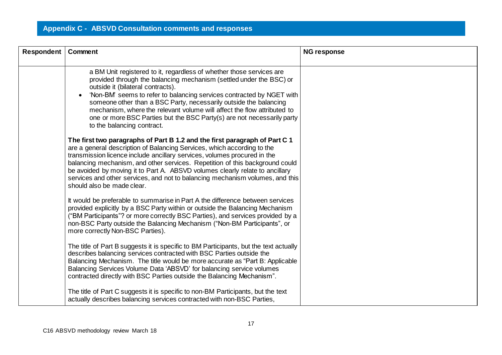| <b>Respondent</b> | Comment                                                                                                                                                                                                                                                                                                                                                                                                                                                                                                                        | <b>NG response</b> |
|-------------------|--------------------------------------------------------------------------------------------------------------------------------------------------------------------------------------------------------------------------------------------------------------------------------------------------------------------------------------------------------------------------------------------------------------------------------------------------------------------------------------------------------------------------------|--------------------|
|                   | a BM Unit registered to it, regardless of whether those services are<br>provided through the balancing mechanism (settled under the BSC) or<br>outside it (bilateral contracts).<br>'Non-BM' seems to refer to balancing services contracted by NGET with<br>$\bullet$<br>someone other than a BSC Party, necessarily outside the balancing<br>mechanism, where the relevant volume will affect the flow attributed to<br>one or more BSC Parties but the BSC Party(s) are not necessarily party<br>to the balancing contract. |                    |
|                   | The first two paragraphs of Part B 1.2 and the first paragraph of Part C 1<br>are a general description of Balancing Services, which according to the<br>transmission licence include ancillary services, volumes procured in the<br>balancing mechanism, and other services. Repetition of this background could<br>be avoided by moving it to Part A. ABSVD volumes clearly relate to ancillary<br>services and other services, and not to balancing mechanism volumes, and this<br>should also be made clear.               |                    |
|                   | It would be preferable to summarise in Part A the difference between services<br>provided explicitly by a BSC Party within or outside the Balancing Mechanism<br>("BM Participants"? or more correctly BSC Parties), and services provided by a<br>non-BSC Party outside the Balancing Mechanism ("Non-BM Participants", or<br>more correctly Non-BSC Parties).                                                                                                                                                                |                    |
|                   | The title of Part B suggests it is specific to BM Participants, but the text actually<br>describes balancing services contracted with BSC Parties outside the<br>Balancing Mechanism. The title would be more accurate as "Part B: Applicable"<br>Balancing Services Volume Data 'ABSVD' for balancing service volumes<br>contracted directly with BSC Parties outside the Balancing Mechanism".                                                                                                                               |                    |
|                   | The title of Part C suggests it is specific to non-BM Participants, but the text<br>actually describes balancing services contracted with non-BSC Parties,                                                                                                                                                                                                                                                                                                                                                                     |                    |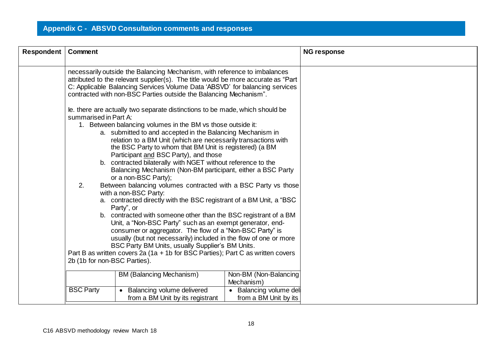| Respondent | Comment                                                                                                                                                                                                                                                                                                                                                                                                                                                                                                                                                                                                                                                                                                                                                                                                                                                                                                                                                                                                                                                                                                                                                        |                                                                  |                                                  | <b>NG response</b> |
|------------|----------------------------------------------------------------------------------------------------------------------------------------------------------------------------------------------------------------------------------------------------------------------------------------------------------------------------------------------------------------------------------------------------------------------------------------------------------------------------------------------------------------------------------------------------------------------------------------------------------------------------------------------------------------------------------------------------------------------------------------------------------------------------------------------------------------------------------------------------------------------------------------------------------------------------------------------------------------------------------------------------------------------------------------------------------------------------------------------------------------------------------------------------------------|------------------------------------------------------------------|--------------------------------------------------|--------------------|
|            | necessarily outside the Balancing Mechanism, with reference to imbalances<br>attributed to the relevant supplier(s). The title would be more accurate as "Part<br>C: Applicable Balancing Services Volume Data 'ABSVD' for balancing services<br>contracted with non-BSC Parties outside the Balancing Mechanism".                                                                                                                                                                                                                                                                                                                                                                                                                                                                                                                                                                                                                                                                                                                                                                                                                                             |                                                                  |                                                  |                    |
|            | le. there are actually two separate distinctions to be made, which should be<br>summarised in Part A:<br>1. Between balancing volumes in the BM vs those outside it:<br>a. submitted to and accepted in the Balancing Mechanism in<br>relation to a BM Unit (which are necessarily transactions with<br>the BSC Party to whom that BM Unit is registered) (a BM<br>Participant and BSC Party), and those<br>b. contracted bilaterally with NGET without reference to the<br>Balancing Mechanism (Non-BM participant, either a BSC Party<br>or a non-BSC Party);<br>2.<br>Between balancing volumes contracted with a BSC Party vs those<br>with a non-BSC Party:<br>a. contracted directly with the BSC registrant of a BM Unit, a "BSC<br>Party", or<br>b. contracted with someone other than the BSC registrant of a BM<br>Unit, a "Non-BSC Party" such as an exempt generator, end-<br>consumer or aggregator. The flow of a "Non-BSC Party" is<br>usually (but not necessarily) included in the flow of one or more<br>BSC Party BM Units, usually Supplier's BM Units.<br>Part B as written covers 2a (1a + 1b for BSC Parties); Part C as written covers |                                                                  |                                                  |                    |
|            |                                                                                                                                                                                                                                                                                                                                                                                                                                                                                                                                                                                                                                                                                                                                                                                                                                                                                                                                                                                                                                                                                                                                                                | <b>BM (Balancing Mechanism)</b>                                  | Non-BM (Non-Balancing<br>Mechanism)              |                    |
|            | <b>BSC Party</b>                                                                                                                                                                                                                                                                                                                                                                                                                                                                                                                                                                                                                                                                                                                                                                                                                                                                                                                                                                                                                                                                                                                                               | • Balancing volume delivered<br>from a BM Unit by its registrant | • Balancing volume deli<br>from a BM Unit by its |                    |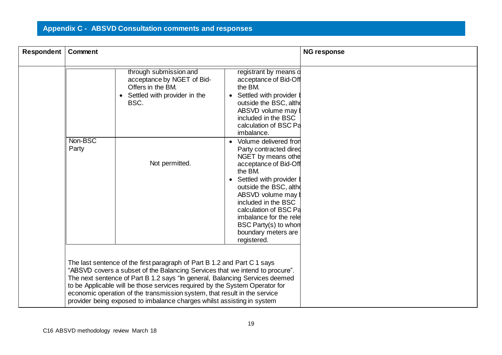| Respondent | Comment |                                                                                                                                                                                                                                                                                                                                                                                                                                                                               |                                                                                                                                                                                                                                                                                                                | <b>NG response</b> |
|------------|---------|-------------------------------------------------------------------------------------------------------------------------------------------------------------------------------------------------------------------------------------------------------------------------------------------------------------------------------------------------------------------------------------------------------------------------------------------------------------------------------|----------------------------------------------------------------------------------------------------------------------------------------------------------------------------------------------------------------------------------------------------------------------------------------------------------------|--------------------|
|            | Non-BSC | through submission and<br>acceptance by NGET of Bid-<br>Offers in the BM.<br>• Settled with provider in the<br>BSC.                                                                                                                                                                                                                                                                                                                                                           | registrant by means o<br>acceptance of Bid-Off<br>the BM.<br>Settled with provider<br>outside the BSC, althe<br>ABSVD volume may b<br>included in the BSC<br>calculation of BSC Pa<br>imbalance.<br>Volume delivered fron                                                                                      |                    |
|            | Party   | Not permitted.                                                                                                                                                                                                                                                                                                                                                                                                                                                                | Party contracted dired<br>NGET by means othe<br>acceptance of Bid-Off<br>the BM.<br>Settled with provider<br>$\bullet$<br>outside the BSC, althe<br>ABSVD volume may b<br>included in the BSC<br>calculation of BSC Pa<br>imbalance for the rele<br>BSC Party(s) to whon<br>boundary meters are<br>registered. |                    |
|            |         | The last sentence of the first paragraph of Part B 1.2 and Part C 1 says<br>"ABSVD covers a subset of the Balancing Services that we intend to procure".<br>The next sentence of Part B 1.2 says "In general, Balancing Services deemed<br>to be Applicable will be those services required by the System Operator for<br>economic operation of the transmission system, that result in the service<br>provider being exposed to imbalance charges whilst assisting in system |                                                                                                                                                                                                                                                                                                                |                    |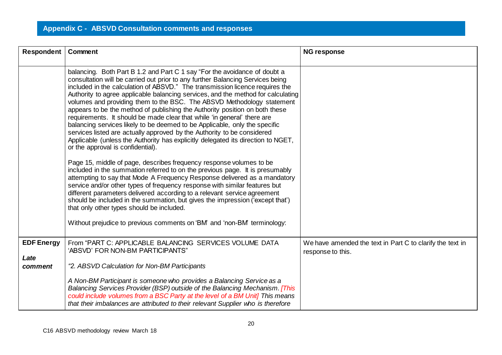| Respondent                           | Comment                                                                                                                                                                                                                                                                                                                                                                                                                                                                                                                                                                                                                                                                                                                                                                                                                                               | <b>NG response</b>                                                             |
|--------------------------------------|-------------------------------------------------------------------------------------------------------------------------------------------------------------------------------------------------------------------------------------------------------------------------------------------------------------------------------------------------------------------------------------------------------------------------------------------------------------------------------------------------------------------------------------------------------------------------------------------------------------------------------------------------------------------------------------------------------------------------------------------------------------------------------------------------------------------------------------------------------|--------------------------------------------------------------------------------|
|                                      | balancing. Both Part B 1.2 and Part C 1 say "For the avoidance of doubt a<br>consultation will be carried out prior to any further Balancing Services being<br>included in the calculation of ABSVD." The transmission licence requires the<br>Authority to agree applicable balancing services, and the method for calculating<br>volumes and providing them to the BSC. The ABSVD Methodology statement<br>appears to be the method of publishing the Authority position on both these<br>requirements. It should be made clear that while 'in general' there are<br>balancing services likely to be deemed to be Applicable, only the specific<br>services listed are actually approved by the Authority to be considered<br>Applicable (unless the Authority has explicitly delegated its direction to NGET,<br>or the approval is confidential). |                                                                                |
|                                      | Page 15, middle of page, describes frequency response volumes to be<br>included in the summation referred to on the previous page. It is presumably<br>attempting to say that Mode A Frequency Response delivered as a mandatory<br>service and/or other types of frequency response with similar features but<br>different parameters delivered according to a relevant service agreement<br>should be included in the summation, but gives the impression ('except that')<br>that only other types should be included.<br>Without prejudice to previous comments on 'BM' and 'non-BM' terminology:                                                                                                                                                                                                                                                  |                                                                                |
| <b>EDF Energy</b><br>Late<br>comment | From "PART C: APPLICABLE BALANCING SERVICES VOLUME DATA<br>'ABSVD' FOR NON-BM PARTICIPANTS"<br>"2. ABSVD Calculation for Non-BM Participants                                                                                                                                                                                                                                                                                                                                                                                                                                                                                                                                                                                                                                                                                                          | We have amended the text in Part C to clarify the text in<br>response to this. |
|                                      | A Non-BM Participant is someone who provides a Balancing Service as a<br>Balancing Services Provider (BSP) outside of the Balancing Mechanism. [This<br>could include volumes from a BSC Party at the level of a BM Unit] This means<br>that their imbalances are attributed to their relevant Supplier who is therefore                                                                                                                                                                                                                                                                                                                                                                                                                                                                                                                              |                                                                                |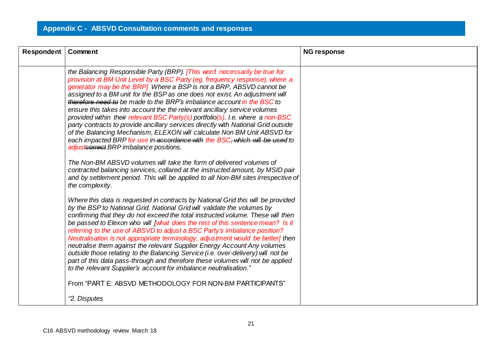| Respondent | <b>Comment</b>                                                                                                                                                                                                                                                                                                                                                                                                                                                                                                                                                                                                                                                                                                                                                                                                                                    | <b>NG response</b> |
|------------|---------------------------------------------------------------------------------------------------------------------------------------------------------------------------------------------------------------------------------------------------------------------------------------------------------------------------------------------------------------------------------------------------------------------------------------------------------------------------------------------------------------------------------------------------------------------------------------------------------------------------------------------------------------------------------------------------------------------------------------------------------------------------------------------------------------------------------------------------|--------------------|
|            | the Balancing Responsible Party (BRP). [This won't necessarily be true for<br>provision at BM Unit Level by a BSC Party (eg. frequency response), where a<br>generator may be the BRP] Where a BSP is not a BRP, ABSVD cannot be<br>assigned to a BM unit for the BSP as one does not exist. An adjustment will<br>therefore need to be made to the BRP's imbalance account in the BSC to<br>ensure this takes into account the the relevant ancillary service volumes<br>provided within their relevant BSC Party(s) portfolio(s). I.e. where a non-BSC<br>party contracts to provide ancillary services directly with National Grid outside<br>of the Balancing Mechanism, ELEXON will calculate Non BM Unit ABSVD for<br>each impacted BRP for use in accordance with the BSC, which will be used to<br>adjustcorrect BRP imbalance positions. |                    |
|            | The Non-BM ABSVD volumes will take the form of delivered volumes of<br>contracted balancing services, collared at the instructed amount, by MSID pair<br>and by settlement period. This will be applied to all Non-BM sites irrespective of<br>the complexity.                                                                                                                                                                                                                                                                                                                                                                                                                                                                                                                                                                                    |                    |
|            | Where this data is requested in contracts by National Grid this will be provided<br>by the BSP to National Grid. National Grid will validate the volumes by<br>confirming that they do not exceed the total instructed volume. These will then<br>be passed to Elexon who will [what does the rest of this sentence mean? Is it<br>referring to the use of ABSVD to adjust a BSC Party's imbalance position?<br>Neutralisation is not appropriate terminology, adjustment would be better] then<br>neutralise them against the relevant Supplier Energy Account Any volumes<br>outside those relating to the Balancing Service (i.e. over-delivery) will not be<br>part of this data pass-through and therefore these volumes will not be applied<br>to the relevant Supplier's account for imbalance neutralisation."                            |                    |
|            | From "PART E: ABSVD METHODOLOGY FOR NON-BM PARTICIPANTS"                                                                                                                                                                                                                                                                                                                                                                                                                                                                                                                                                                                                                                                                                                                                                                                          |                    |
|            | "2. Disputes                                                                                                                                                                                                                                                                                                                                                                                                                                                                                                                                                                                                                                                                                                                                                                                                                                      |                    |